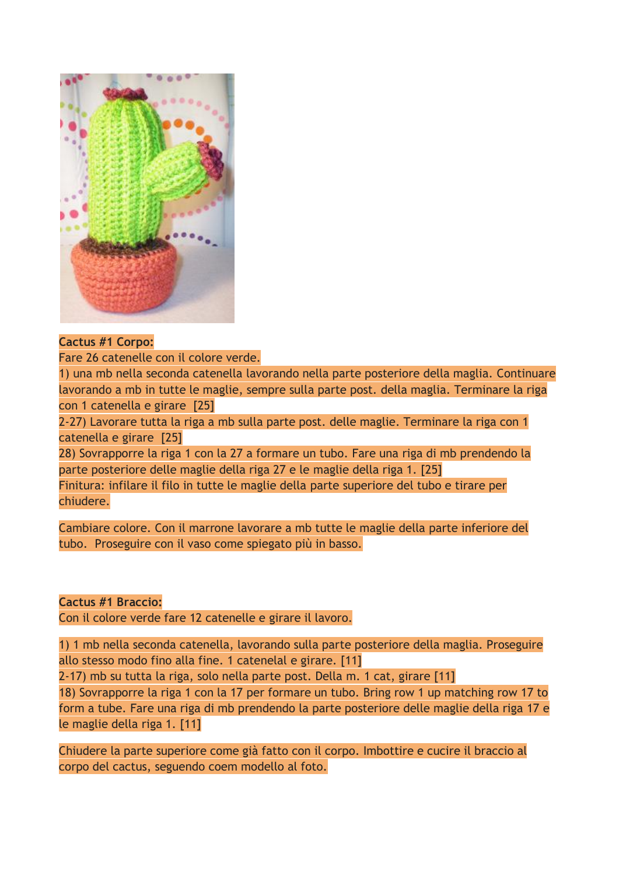

#### **Cactus #1 Corpo:**

Fare 26 catenelle con il colore verde.

1) una mb nella seconda catenella lavorando nella parte posteriore della maglia. Continuare lavorando a mb in tutte le maglie, sempre sulla parte post. della maglia. Terminare la riga con 1 catenella e girare [25]

2-27) Lavorare tutta la riga a mb sulla parte post. delle maglie. Terminare la riga con 1 catenella e girare [25]

28) Sovrapporre la riga 1 con la 27 a formare un tubo. Fare una riga di mb prendendo la parte posteriore delle maglie della riga 27 e le maglie della riga 1. [25]

Finitura: infilare il filo in tutte le maglie della parte superiore del tubo e tirare per chiudere.

Cambiare colore. Con il marrone lavorare a mb tutte le maglie della parte inferiore del tubo. Proseguire con il vaso come spiegato più in basso.

**Cactus #1 Braccio:**

Con il colore verde fare 12 catenelle e girare il lavoro.

1) 1 mb nella seconda catenella, lavorando sulla parte posteriore della maglia. Proseguire allo stesso modo fino alla fine. 1 catenelal e girare. [11]

2-17) mb su tutta la riga, solo nella parte post. Della m. 1 cat, girare [11]

18) Sovrapporre la riga 1 con la 17 per formare un tubo. Bring row 1 up matching row 17 to form a tube. Fare una riga di mb prendendo la parte posteriore delle maglie della riga 17 e le maglie della riga 1. [11]

Chiudere la parte superiore come già fatto con il corpo. Imbottire e cucire il braccio al corpo del cactus, seguendo coem modello al foto.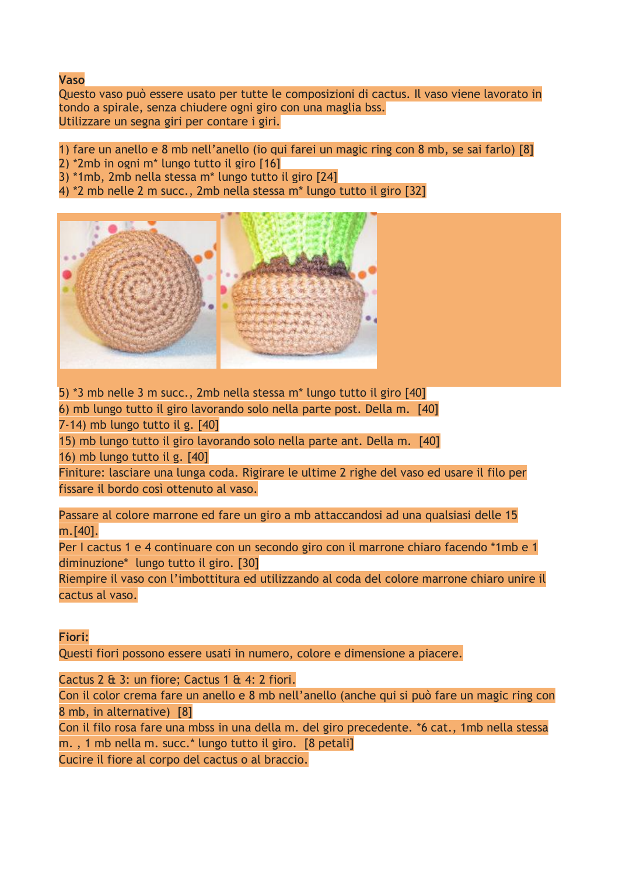## **Vaso**

Questo vaso può essere usato per tutte le composizioni di cactus. Il vaso viene lavorato in tondo a spirale, senza chiudere ogni giro con una maglia bss. Utilizzare un segna giri per contare i giri.

- 1) fare un anello e 8 mb nell'anello (io qui farei un magic ring con 8 mb, se sai farlo) [8]
- 2) \*2mb in ogni m\* lungo tutto il giro [16]
- 3) \*1mb, 2mb nella stessa m\* lungo tutto il giro [24]
- 4) \*2 mb nelle 2 m succ., 2mb nella stessa m\* lungo tutto il giro [32]



5) \*3 mb nelle 3 m succ., 2mb nella stessa m\* lungo tutto il giro [40]

6) mb lungo tutto il giro lavorando solo nella parte post. Della m. [40]

7-14) mb lungo tutto il g. [40]

15) mb lungo tutto il giro lavorando solo nella parte ant. Della m. [40] 16) mb lungo tutto il g. [40]

Finiture: lasciare una lunga coda. Rigirare le ultime 2 righe del vaso ed usare il filo per fissare il bordo così ottenuto al vaso.

Passare al colore marrone ed fare un giro a mb attaccandosi ad una qualsiasi delle 15 m.[40].

Per I cactus 1 e 4 continuare con un secondo giro con il marrone chiaro facendo \*1mb e 1 diminuzione\* lungo tutto il giro. [30]

Riempire il vaso con l'imbottitura ed utilizzando al coda del colore marrone chiaro unire il cactus al vaso.

## **Fiori:**

Questi fiori possono essere usati in numero, colore e dimensione a piacere.

Cactus 2  $\&$  3: un fiore; Cactus 1  $\&$  4: 2 fiori.

Con il color crema fare un anello e 8 mb nell'anello (anche qui si può fare un magic ring con 8 mb, in alternative) [8]

Con il filo rosa fare una mbss in una della m. del giro precedente. \*6 cat., 1mb nella stessa m. , 1 mb nella m. succ.\* lungo tutto il giro. [8 petali]

Cucire il fiore al corpo del cactus o al braccio.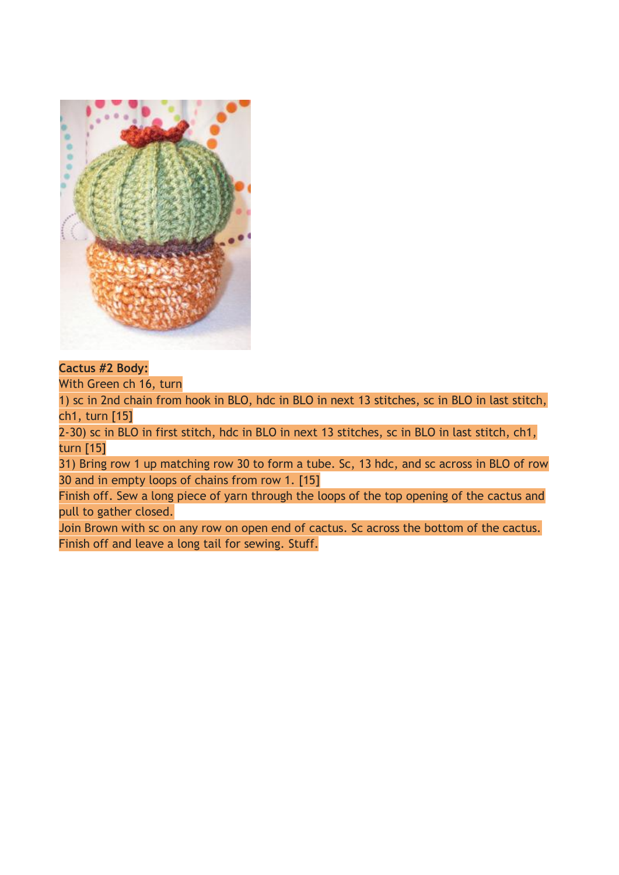

## **Cactus #2 Body:**

With Green ch 16, turn

1) sc in 2nd chain from hook in BLO, hdc in BLO in next 13 stitches, sc in BLO in last stitch, ch1, turn [15]

2-30) sc in BLO in first stitch, hdc in BLO in next 13 stitches, sc in BLO in last stitch, ch1, turn [15]

31) Bring row 1 up matching row 30 to form a tube. Sc, 13 hdc, and sc across in BLO of row 30 and in empty loops of chains from row 1. [15]

Finish off. Sew a long piece of yarn through the loops of the top opening of the cactus and pull to gather closed.

Join Brown with sc on any row on open end of cactus. Sc across the bottom of the cactus. Finish off and leave a long tail for sewing. Stuff.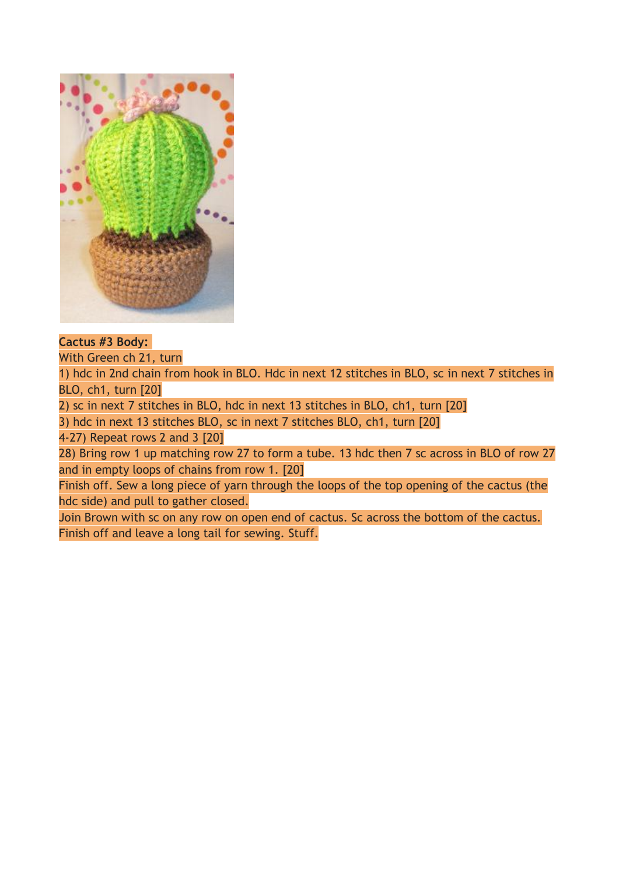

## **Cactus #3 Body:**

With Green ch 21, turn

1) hdc in 2nd chain from hook in BLO. Hdc in next 12 stitches in BLO, sc in next 7 stitches in BLO, ch1, turn [20]

2) sc in next 7 stitches in BLO, hdc in next 13 stitches in BLO, ch1, turn [20]

3) hdc in next 13 stitches BLO, sc in next 7 stitches BLO, ch1, turn [20]

4-27) Repeat rows 2 and 3 [20]

28) Bring row 1 up matching row 27 to form a tube. 13 hdc then 7 sc across in BLO of row 27 and in empty loops of chains from row 1. [20]

Finish off. Sew a long piece of yarn through the loops of the top opening of the cactus (the hdc side) and pull to gather closed.

Join Brown with sc on any row on open end of cactus. Sc across the bottom of the cactus. Finish off and leave a long tail for sewing. Stuff.